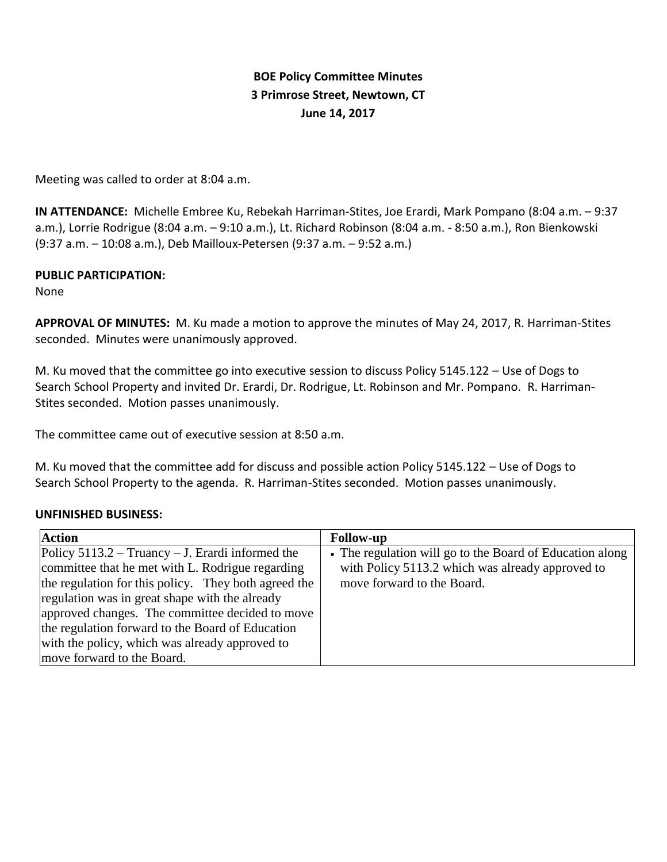# **BOE Policy Committee Minutes 3 Primrose Street, Newtown, CT June 14, 2017**

Meeting was called to order at 8:04 a.m.

**IN ATTENDANCE:** Michelle Embree Ku, Rebekah Harriman-Stites, Joe Erardi, Mark Pompano (8:04 a.m. – 9:37 a.m.), Lorrie Rodrigue (8:04 a.m. – 9:10 a.m.), Lt. Richard Robinson (8:04 a.m. - 8:50 a.m.), Ron Bienkowski (9:37 a.m. – 10:08 a.m.), Deb Mailloux-Petersen (9:37 a.m. – 9:52 a.m.)

### **PUBLIC PARTICIPATION:**

None

**APPROVAL OF MINUTES:** M. Ku made a motion to approve the minutes of May 24, 2017, R. Harriman-Stites seconded. Minutes were unanimously approved.

M. Ku moved that the committee go into executive session to discuss Policy 5145.122 – Use of Dogs to Search School Property and invited Dr. Erardi, Dr. Rodrigue, Lt. Robinson and Mr. Pompano. R. Harriman-Stites seconded. Motion passes unanimously.

The committee came out of executive session at 8:50 a.m.

M. Ku moved that the committee add for discuss and possible action Policy 5145.122 – Use of Dogs to Search School Property to the agenda. R. Harriman-Stites seconded. Motion passes unanimously.

#### **UNFINISHED BUSINESS:**

| <b>Action</b>                                        | <b>Follow-up</b>                                         |
|------------------------------------------------------|----------------------------------------------------------|
| Policy $5113.2 - Truancy - J$ . Erardi informed the  | • The regulation will go to the Board of Education along |
| committee that he met with L. Rodrigue regarding     | with Policy 5113.2 which was already approved to         |
| the regulation for this policy. They both agreed the | move forward to the Board.                               |
| regulation was in great shape with the already       |                                                          |
| approved changes. The committee decided to move      |                                                          |
| the regulation forward to the Board of Education     |                                                          |
| with the policy, which was already approved to       |                                                          |
| move forward to the Board.                           |                                                          |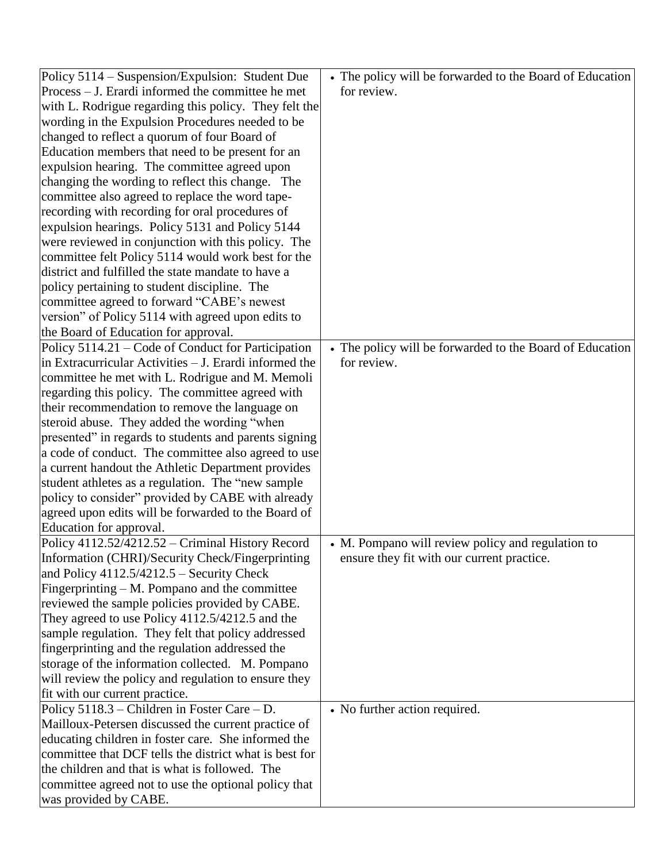| Policy 5114 - Suspension/Expulsion: Student Due        | • The policy will be forwarded to the Board of Education |
|--------------------------------------------------------|----------------------------------------------------------|
| Process – J. Erardi informed the committee he met      | for review.                                              |
| with L. Rodrigue regarding this policy. They felt the  |                                                          |
| wording in the Expulsion Procedures needed to be       |                                                          |
| changed to reflect a quorum of four Board of           |                                                          |
| Education members that need to be present for an       |                                                          |
| expulsion hearing. The committee agreed upon           |                                                          |
| changing the wording to reflect this change. The       |                                                          |
| committee also agreed to replace the word tape-        |                                                          |
| recording with recording for oral procedures of        |                                                          |
| expulsion hearings. Policy 5131 and Policy 5144        |                                                          |
| were reviewed in conjunction with this policy. The     |                                                          |
| committee felt Policy 5114 would work best for the     |                                                          |
| district and fulfilled the state mandate to have a     |                                                          |
| policy pertaining to student discipline. The           |                                                          |
| committee agreed to forward "CABE's newest             |                                                          |
| version" of Policy 5114 with agreed upon edits to      |                                                          |
| the Board of Education for approval.                   |                                                          |
| Policy 5114.21 – Code of Conduct for Participation     | • The policy will be forwarded to the Board of Education |
| in Extracurricular Activities – J. Erardi informed the | for review.                                              |
| committee he met with L. Rodrigue and M. Memoli        |                                                          |
| regarding this policy. The committee agreed with       |                                                          |
| their recommendation to remove the language on         |                                                          |
| steroid abuse. They added the wording "when            |                                                          |
| presented" in regards to students and parents signing  |                                                          |
| a code of conduct. The committee also agreed to use    |                                                          |
| a current handout the Athletic Department provides     |                                                          |
| student athletes as a regulation. The "new sample      |                                                          |
| policy to consider" provided by CABE with already      |                                                          |
| agreed upon edits will be forwarded to the Board of    |                                                          |
| Education for approval.                                |                                                          |
| Policy 4112.52/4212.52 - Criminal History Record       | • M. Pompano will review policy and regulation to        |
| Information (CHRI)/Security Check/Fingerprinting       | ensure they fit with our current practice.               |
| and Policy $4112.5/4212.5$ – Security Check            |                                                          |
| Fingerprinting $- M$ . Pompano and the committee       |                                                          |
| reviewed the sample policies provided by CABE.         |                                                          |
| They agreed to use Policy 4112.5/4212.5 and the        |                                                          |
| sample regulation. They felt that policy addressed     |                                                          |
| fingerprinting and the regulation addressed the        |                                                          |
| storage of the information collected. M. Pompano       |                                                          |
| will review the policy and regulation to ensure they   |                                                          |
| fit with our current practice.                         |                                                          |
| Policy $5118.3$ – Children in Foster Care – D.         | • No further action required.                            |
| Mailloux-Petersen discussed the current practice of    |                                                          |
| educating children in foster care. She informed the    |                                                          |
| committee that DCF tells the district what is best for |                                                          |
| the children and that is what is followed. The         |                                                          |
| committee agreed not to use the optional policy that   |                                                          |
| was provided by CABE.                                  |                                                          |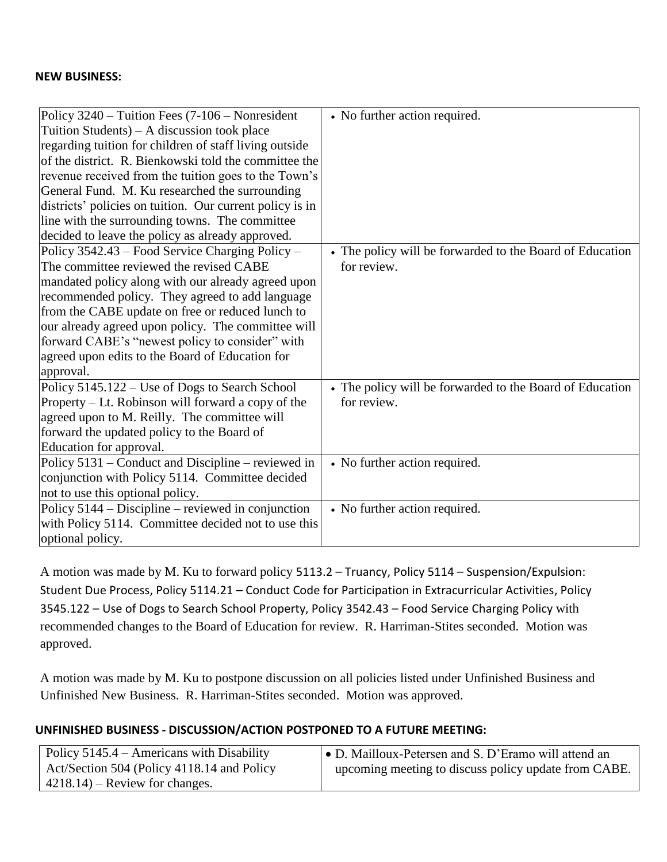#### **NEW BUSINESS:**

| Policy 3240 – Tuition Fees (7-106 – Nonresident          | • No further action required.                            |
|----------------------------------------------------------|----------------------------------------------------------|
| Tuition Students) – A discussion took place              |                                                          |
| regarding tuition for children of staff living outside   |                                                          |
| of the district. R. Bienkowski told the committee the    |                                                          |
| revenue received from the tuition goes to the Town's     |                                                          |
| General Fund. M. Ku researched the surrounding           |                                                          |
| districts' policies on tuition. Our current policy is in |                                                          |
| line with the surrounding towns. The committee           |                                                          |
| decided to leave the policy as already approved.         |                                                          |
| Policy 3542.43 - Food Service Charging Policy -          | • The policy will be forwarded to the Board of Education |
| The committee reviewed the revised CABE                  | for review.                                              |
| mandated policy along with our already agreed upon       |                                                          |
| recommended policy. They agreed to add language          |                                                          |
| from the CABE update on free or reduced lunch to         |                                                          |
| our already agreed upon policy. The committee will       |                                                          |
| forward CABE's "newest policy to consider" with          |                                                          |
| agreed upon edits to the Board of Education for          |                                                          |
| approval.                                                |                                                          |
| Policy 5145.122 – Use of Dogs to Search School           | • The policy will be forwarded to the Board of Education |
| Property – Lt. Robinson will forward a copy of the       | for review.                                              |
| agreed upon to M. Reilly. The committee will             |                                                          |
| forward the updated policy to the Board of               |                                                          |
| Education for approval.                                  |                                                          |
| Policy 5131 – Conduct and Discipline – reviewed in       | • No further action required.                            |
| conjunction with Policy 5114. Committee decided          |                                                          |
| not to use this optional policy.                         |                                                          |
| Policy 5144 – Discipline – reviewed in conjunction       | • No further action required.                            |
| with Policy 5114. Committee decided not to use this      |                                                          |
| optional policy.                                         |                                                          |

A motion was made by M. Ku to forward policy 5113.2 – Truancy, Policy 5114 – Suspension/Expulsion: Student Due Process, Policy 5114.21 – Conduct Code for Participation in Extracurricular Activities, Policy 3545.122 – Use of Dogs to Search School Property, Policy 3542.43 – Food Service Charging Policy with recommended changes to the Board of Education for review. R. Harriman-Stites seconded. Motion was approved.

A motion was made by M. Ku to postpone discussion on all policies listed under Unfinished Business and Unfinished New Business. R. Harriman-Stites seconded. Motion was approved.

# **UNFINISHED BUSINESS - DISCUSSION/ACTION POSTPONED TO A FUTURE MEETING:**

| Policy $5145.4$ – Americans with Disability | • D. Mailloux-Petersen and S. D'Eramo will attend an |
|---------------------------------------------|------------------------------------------------------|
| Act/Section 504 (Policy 4118.14 and Policy  | upcoming meeting to discuss policy update from CABE. |
| $4218.14$ – Review for changes.             |                                                      |